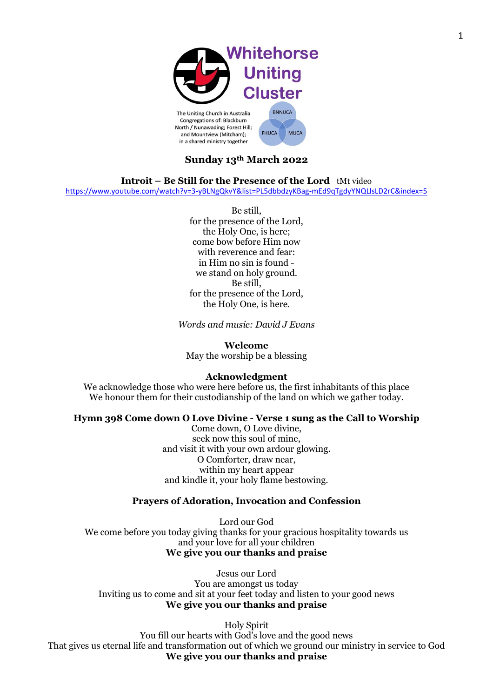

## **Sunday 13th March 2022**

**Introit – Be Still for the Presence of the Lord** tMt video

<https://www.youtube.com/watch?v=3-yBLNgQkvY&list=PL5dbbdzyKBag-mEd9qTgdyYNQLlsLD2rC&index=5>

Be still, for the presence of the Lord, the Holy One, is here; come bow before Him now with reverence and fear: in Him no sin is found we stand on holy ground. Be still, for the presence of the Lord, the Holy One, is here.

*Words and music: David J Evans*

**Welcome** May the worship be a blessing

#### **Acknowledgment**

We acknowledge those who were here before us, the first inhabitants of this place We honour them for their custodianship of the land on which we gather today.

#### **Hymn 398 Come down O Love Divine - Verse 1 sung as the Call to Worship**

Come down, O Love divine, seek now this soul of mine, and visit it with your own ardour glowing. O Comforter, draw near, within my heart appear and kindle it, your holy flame bestowing.

#### **Prayers of Adoration, Invocation and Confession**

Lord our God We come before you today giving thanks for your gracious hospitality towards us and your love for all your children **We give you our thanks and praise**

Jesus our Lord You are amongst us today Inviting us to come and sit at your feet today and listen to your good news **We give you our thanks and praise**

Holy Spirit You fill our hearts with God's love and the good news That gives us eternal life and transformation out of which we ground our ministry in service to God **We give you our thanks and praise**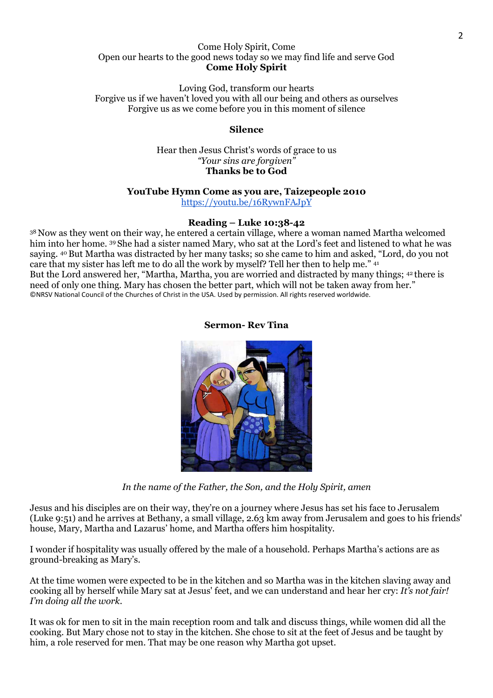#### Come Holy Spirit, Come Open our hearts to the good news today so we may find life and serve God **Come Holy Spirit**

Loving God, transform our hearts Forgive us if we haven't loved you with all our being and others as ourselves Forgive us as we come before you in this moment of silence

#### **Silence**

Hear then Jesus Christ's words of grace to us *"Your sins are forgiven"* **Thanks be to God**

#### **YouTube Hymn Come as you are, Taizepeople 2010**

<https://youtu.be/16RywnFAJpY>

#### **Reading – Luke 10:38-42**

<sup>38</sup> Now as they went on their way, he entered a certain village, where a woman named Martha welcomed him into her home. 39 She had a sister named Mary, who sat at the Lord's feet and listened to what he was saying. <sup>40</sup>But Martha was distracted by her many tasks; so she came to him and asked, "Lord, do you not care that my sister has left me to do all the work by myself? Tell her then to help me." <sup>41</sup> But the Lord answered her, "Martha, Martha, you are worried and distracted by many things; <sup>42</sup> there is need of only one thing. Mary has chosen the better part, which will not be taken away from her." ©NRSV National Council of the Churches of Christ in the USA. Used by permission. All rights reserved worldwide.

**Sermon- Rev Tina**

*In the name of the Father, the Son, and the Holy Spirit, amen*

Jesus and his disciples are on their way, they're on a journey where Jesus has set his face to Jerusalem (Luke 9:51) and he arrives at Bethany, a small village, 2.63 km away from Jerusalem and goes to his friends' house, Mary, Martha and Lazarus' home, and Martha offers him hospitality.

I wonder if hospitality was usually offered by the male of a household. Perhaps Martha's actions are as ground-breaking as Mary's.

At the time women were expected to be in the kitchen and so Martha was in the kitchen slaving away and cooking all by herself while Mary sat at Jesus' feet, and we can understand and hear her cry: *It's not fair! I'm doing all the work.*

It was ok for men to sit in the main reception room and talk and discuss things, while women did all the cooking. But Mary chose not to stay in the kitchen. She chose to sit at the feet of Jesus and be taught by him, a role reserved for men. That may be one reason why Martha got upset.

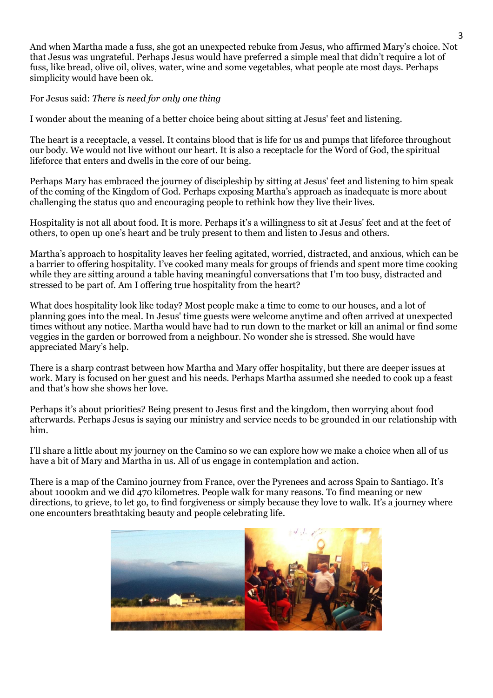And when Martha made a fuss, she got an unexpected rebuke from Jesus, who affirmed Mary's choice. Not that Jesus was ungrateful. Perhaps Jesus would have preferred a simple meal that didn't require a lot of fuss, like bread, olive oil, olives, water, wine and some vegetables, what people ate most days. Perhaps simplicity would have been ok.

For Jesus said: *There is need for only one thing*

I wonder about the meaning of a better choice being about sitting at Jesus' feet and listening.

The heart is a receptacle, a vessel. It contains blood that is life for us and pumps that lifeforce throughout our body. We would not live without our heart. It is also a receptacle for the Word of God, the spiritual lifeforce that enters and dwells in the core of our being.

Perhaps Mary has embraced the journey of discipleship by sitting at Jesus' feet and listening to him speak of the coming of the Kingdom of God. Perhaps exposing Martha's approach as inadequate is more about challenging the status quo and encouraging people to rethink how they live their lives.

Hospitality is not all about food. It is more. Perhaps it's a willingness to sit at Jesus' feet and at the feet of others, to open up one's heart and be truly present to them and listen to Jesus and others.

Martha's approach to hospitality leaves her feeling agitated, worried, distracted, and anxious, which can be a barrier to offering hospitality. I've cooked many meals for groups of friends and spent more time cooking while they are sitting around a table having meaningful conversations that I'm too busy, distracted and stressed to be part of. Am I offering true hospitality from the heart?

What does hospitality look like today? Most people make a time to come to our houses, and a lot of planning goes into the meal. In Jesus' time guests were welcome anytime and often arrived at unexpected times without any notice. Martha would have had to run down to the market or kill an animal or find some veggies in the garden or borrowed from a neighbour. No wonder she is stressed. She would have appreciated Mary's help.

There is a sharp contrast between how Martha and Mary offer hospitality, but there are deeper issues at work. Mary is focused on her guest and his needs. Perhaps Martha assumed she needed to cook up a feast and that's how she shows her love.

Perhaps it's about priorities? Being present to Jesus first and the kingdom, then worrying about food afterwards. Perhaps Jesus is saying our ministry and service needs to be grounded in our relationship with him.

I'll share a little about my journey on the Camino so we can explore how we make a choice when all of us have a bit of Mary and Martha in us. All of us engage in contemplation and action.

There is a map of the Camino journey from France, over the Pyrenees and across Spain to Santiago. It's about 1000km and we did 470 kilometres. People walk for many reasons. To find meaning or new directions, to grieve, to let go, to find forgiveness or simply because they love to walk. It's a journey where one encounters breathtaking beauty and people celebrating life.

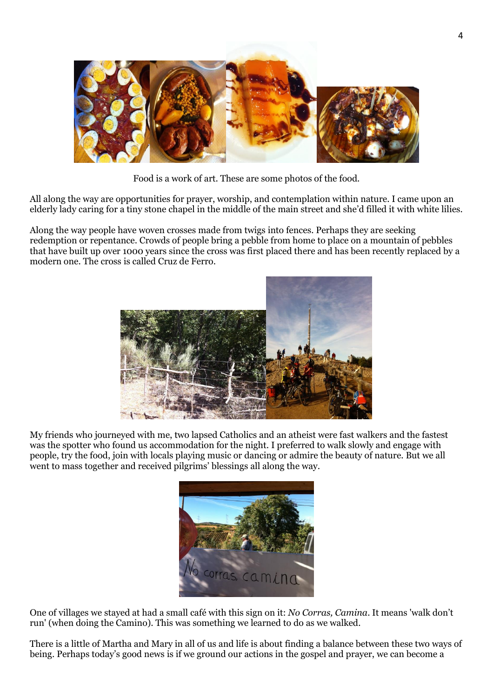

Food is a work of art. These are some photos of the food.

All along the way are opportunities for prayer, worship, and contemplation within nature. I came upon an elderly lady caring for a tiny stone chapel in the middle of the main street and she'd filled it with white lilies.

Along the way people have woven crosses made from twigs into fences. Perhaps they are seeking redemption or repentance. Crowds of people bring a pebble from home to place on a mountain of pebbles that have built up over 1000 years since the cross was first placed there and has been recently replaced by a modern one. The cross is called Cruz de Ferro.



My friends who journeyed with me, two lapsed Catholics and an atheist were fast walkers and the fastest was the spotter who found us accommodation for the night. I preferred to walk slowly and engage with people, try the food, join with locals playing music or dancing or admire the beauty of nature. But we all went to mass together and received pilgrims' blessings all along the way.



One of villages we stayed at had a small café with this sign on it: *No Corras, Camina*. It means 'walk don't run' (when doing the Camino). This was something we learned to do as we walked.

There is a little of Martha and Mary in all of us and life is about finding a balance between these two ways of being. Perhaps today's good news is if we ground our actions in the gospel and prayer, we can become a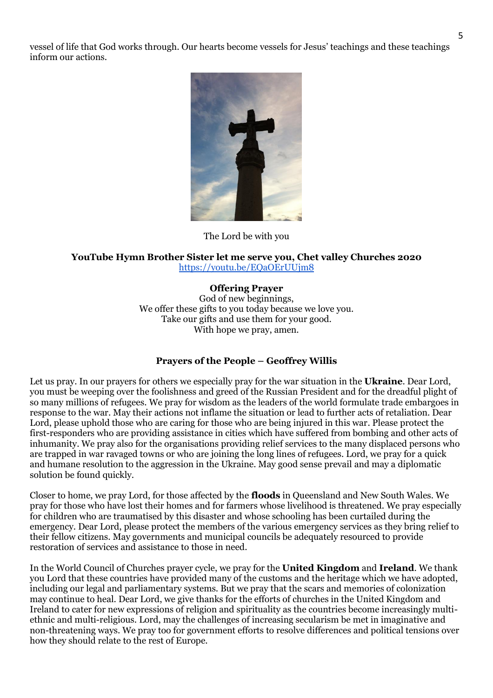vessel of life that God works through. Our hearts become vessels for Jesus' teachings and these teachings inform our actions.



The Lord be with you

#### **YouTube Hymn Brother Sister let me serve you, Chet valley Churches 2020** <https://youtu.be/EQaOErUUjm8>

#### **Offering Prayer**

God of new beginnings, We offer these gifts to you today because we love you. Take our gifts and use them for your good. With hope we pray, amen.

#### **Prayers of the People – Geoffrey Willis**

Let us pray. In our prayers for others we especially pray for the war situation in the **Ukraine**. Dear Lord, you must be weeping over the foolishness and greed of the Russian President and for the dreadful plight of so many millions of refugees. We pray for wisdom as the leaders of the world formulate trade embargoes in response to the war. May their actions not inflame the situation or lead to further acts of retaliation. Dear Lord, please uphold those who are caring for those who are being injured in this war. Please protect the first-responders who are providing assistance in cities which have suffered from bombing and other acts of inhumanity. We pray also for the organisations providing relief services to the many displaced persons who are trapped in war ravaged towns or who are joining the long lines of refugees. Lord, we pray for a quick and humane resolution to the aggression in the Ukraine. May good sense prevail and may a diplomatic solution be found quickly.

Closer to home, we pray Lord, for those affected by the **floods** in Queensland and New South Wales. We pray for those who have lost their homes and for farmers whose livelihood is threatened. We pray especially for children who are traumatised by this disaster and whose schooling has been curtailed during the emergency. Dear Lord, please protect the members of the various emergency services as they bring relief to their fellow citizens. May governments and municipal councils be adequately resourced to provide restoration of services and assistance to those in need.

In the World Council of Churches prayer cycle, we pray for the **United Kingdom** and **Ireland**. We thank you Lord that these countries have provided many of the customs and the heritage which we have adopted, including our legal and parliamentary systems. But we pray that the scars and memories of colonization may continue to heal. Dear Lord, we give thanks for the efforts of churches in the United Kingdom and Ireland to cater for new expressions of religion and spirituality as the countries become increasingly multiethnic and multi-religious. Lord, may the challenges of increasing secularism be met in imaginative and non-threatening ways. We pray too for government efforts to resolve differences and political tensions over how they should relate to the rest of Europe.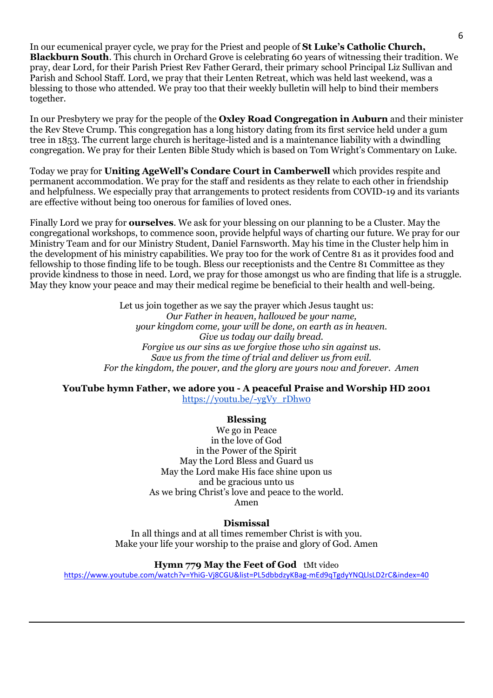In our ecumenical prayer cycle, we pray for the Priest and people of **St Luke's Catholic Church, Blackburn South**. This church in Orchard Grove is celebrating 60 years of witnessing their tradition. We pray, dear Lord, for their Parish Priest Rev Father Gerard, their primary school Principal Liz Sullivan and Parish and School Staff. Lord, we pray that their Lenten Retreat, which was held last weekend, was a blessing to those who attended. We pray too that their weekly bulletin will help to bind their members together.

In our Presbytery we pray for the people of the **Oxley Road Congregation in Auburn** and their minister the Rev Steve Crump. This congregation has a long history dating from its first service held under a gum tree in 1853. The current large church is heritage-listed and is a maintenance liability with a dwindling congregation. We pray for their Lenten Bible Study which is based on Tom Wright's Commentary on Luke.

Today we pray for **Uniting AgeWell's Condare Court in Camberwell** which provides respite and permanent accommodation. We pray for the staff and residents as they relate to each other in friendship and helpfulness. We especially pray that arrangements to protect residents from COVID-19 and its variants are effective without being too onerous for families of loved ones.

Finally Lord we pray for **ourselves**. We ask for your blessing on our planning to be a Cluster. May the congregational workshops, to commence soon, provide helpful ways of charting our future. We pray for our Ministry Team and for our Ministry Student, Daniel Farnsworth. May his time in the Cluster help him in the development of his ministry capabilities. We pray too for the work of Centre 81 as it provides food and fellowship to those finding life to be tough. Bless our receptionists and the Centre 81 Committee as they provide kindness to those in need. Lord, we pray for those amongst us who are finding that life is a struggle. May they know your peace and may their medical regime be beneficial to their health and well-being.

> Let us join together as we say the prayer which Jesus taught us: *Our Father in heaven, hallowed be your name, your kingdom come, your will be done, on earth as in heaven. Give us today our daily bread. Forgive us our sins as we forgive those who sin against us. Save us from the time of trial and deliver us from evil. For the kingdom, the power, and the glory are yours now and forever. Amen*

# **YouTube hymn Father, we adore you - A peaceful Praise and Worship HD 2001**

[https://youtu.be/-ygVy\\_rDhw0](https://youtu.be/-ygVy_rDhw0)

### **Blessing**

We go in Peace in the love of God in the Power of the Spirit May the Lord Bless and Guard us May the Lord make His face shine upon us and be gracious unto us As we bring Christ's love and peace to the world. Amen

#### **Dismissal**

In all things and at all times remember Christ is with you. Make your life your worship to the praise and glory of God. Amen

**Hymn 779 May the Feet of God** tMt video

<https://www.youtube.com/watch?v=YhiG-Vj8CGU&list=PL5dbbdzyKBag-mEd9qTgdyYNQLlsLD2rC&index=40>